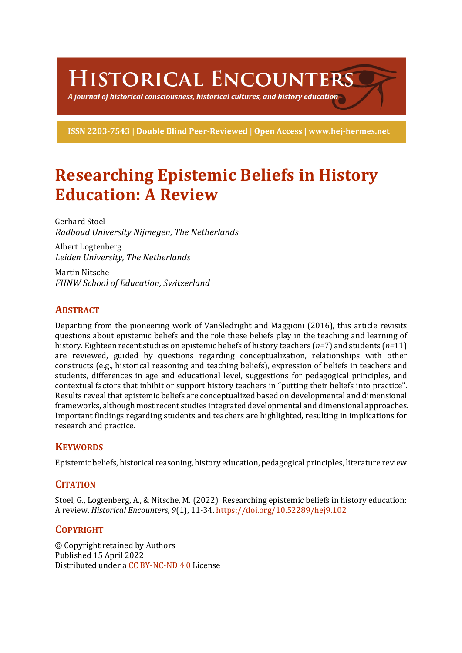HISTORICAL ENCOUNTERS

A journal of historical consciousness, historical cultures, and history education  $\mathbb S$ 

ISSN 2203-7543 | Double Blind Peer-Reviewed | Open Access | www.hej-hermes.net

# **Researching Epistemic Beliefs in History Education: A Review**

Gerhard Stoel *Radboud University Nijmegen, The Netherlands*

Albert Logtenberg *Leiden University, The Netherlands*

Martin Nitsche *FHNW School of Education, Switzerland*

# **ABSTRACT**

Departing from the pioneering work of VanSledright and Maggioni (2016), this article revisits questions about epistemic beliefs and the role these beliefs play in the teaching and learning of history. Eighteen recent studies on epistemic beliefs of history teachers  $(n=7)$  and students  $(n=11)$ are reviewed, guided by questions regarding conceptualization, relationships with other constructs (e.g., historical reasoning and teaching beliefs), expression of beliefs in teachers and students, differences in age and educational level, suggestions for pedagogical principles, and contextual factors that inhibit or support history teachers in "putting their beliefs into practice". Results reveal that epistemic beliefs are conceptualized based on developmental and dimensional frameworks, although most recent studies integrated developmental and dimensional approaches. Important findings regarding students and teachers are highlighted, resulting in implications for research and practice.

# **KEYWORDS**

Epistemic beliefs, historical reasoning, history education, pedagogical principles, literature review

# **CITATION**

Stoel, G., Logtenberg, A., & Nitsche, M. (2022). Researching epistemic beliefs in history education: A review. *Historical Encounters,* 9(1), 11-34. https://doi.org/10.52289/hej9.102

# **COPYRIGHT**

© Copyright retained by Authors Published 15 April 2022 Distributed under a CC BY-NC-ND 4.0 License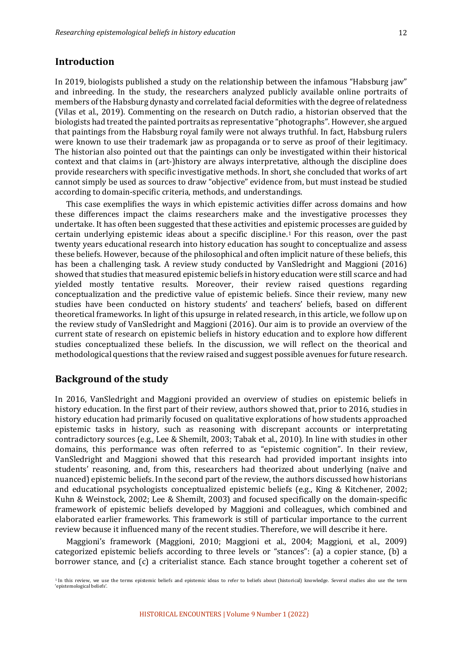# **Introduction**

In 2019, biologists published a study on the relationship between the infamous "Habsburg jaw" and inbreeding. In the study, the researchers analyzed publicly available online portraits of members of the Habsburg dynasty and correlated facial deformities with the degree of relatedness (Vilas et al., 2019). Commenting on the research on Dutch radio, a historian observed that the biologists had treated the painted portraits as representative "photographs". However, she argued that paintings from the Habsburg royal family were not always truthful. In fact, Habsburg rulers were known to use their trademark jaw as propaganda or to serve as proof of their legitimacy. The historian also pointed out that the paintings can only be investigated within their historical context and that claims in (art-)history are always interpretative, although the discipline does provide researchers with specific investigative methods. In short, she concluded that works of art cannot simply be used as sources to draw "objective" evidence from, but must instead be studied according to domain-specific criteria, methods, and understandings.

This case exemplifies the ways in which epistemic activities differ across domains and how these differences impact the claims researchers make and the investigative processes they undertake. It has often been suggested that these activities and epistemic processes are guided by certain underlying epistemic ideas about a specific discipline.<sup>1</sup> For this reason, over the past twenty years educational research into history education has sought to conceptualize and assess these beliefs. However, because of the philosophical and often implicit nature of these beliefs, this has been a challenging task. A review study conducted by VanSledright and Maggioni (2016) showed that studies that measured epistemic beliefs in history education were still scarce and had yielded mostly tentative results. Moreover, their review raised questions regarding conceptualization and the predictive value of epistemic beliefs. Since their review, many new studies have been conducted on history students' and teachers' beliefs, based on different theoretical frameworks. In light of this upsurge in related research, in this article, we follow up on the review study of VanSledright and Maggioni (2016). Our aim is to provide an overview of the current state of research on epistemic beliefs in history education and to explore how different studies conceptualized these beliefs. In the discussion, we will reflect on the theorical and methodological questions that the review raised and suggest possible avenues for future research.

# **Background of the study**

In 2016, VanSledright and Maggioni provided an overview of studies on epistemic beliefs in history education. In the first part of their review, authors showed that, prior to 2016, studies in history education had primarily focused on qualitative explorations of how students approached epistemic tasks in history, such as reasoning with discrepant accounts or interpretating contradictory sources (e.g., Lee & Shemilt, 2003; Tabak et al., 2010). In line with studies in other domains, this performance was often referred to as "epistemic cognition". In their review, VanSledright and Maggioni showed that this research had provided important insights into students' reasoning, and, from this, researchers had theorized about underlying (naïve and nuanced) epistemic beliefs. In the second part of the review, the authors discussed how historians and educational psychologists conceptualized epistemic beliefs (e.g., King & Kitchener, 2002; Kuhn & Weinstock, 2002; Lee & Shemilt, 2003) and focused specifically on the domain-specific framework of epistemic beliefs developed by Maggioni and colleagues, which combined and elaborated earlier frameworks. This framework is still of particular importance to the current review because it influenced many of the recent studies. Therefore, we will describe it here.

Maggioni's framework (Maggioni, 2010; Maggioni et al., 2004; Maggioni, et al., 2009) categorized epistemic beliefs according to three levels or "stances": (a) a copier stance, (b) a borrower stance, and (c) a criterialist stance. Each stance brought together a coherent set of

<sup>&</sup>lt;sup>1</sup> In this review, we use the terms epistemic beliefs and epistemic ideas to refer to beliefs about (historical) knowledge. Several studies also use the term 'enistemological heliefs'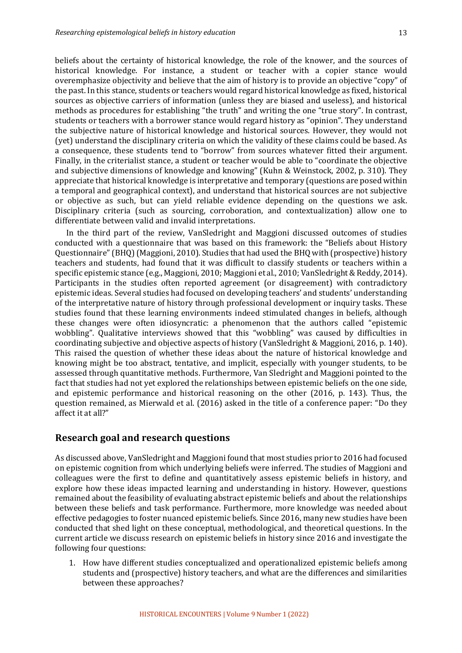beliefs about the certainty of historical knowledge, the role of the knower, and the sources of historical knowledge. For instance, a student or teacher with a copier stance would overemphasize objectivity and believe that the aim of history is to provide an objective "copy" of the past. In this stance, students or teachers would regard historical knowledge as fixed, historical sources as objective carriers of information (unless they are biased and useless), and historical methods as procedures for establishing "the truth" and writing the one "true story". In contrast, students or teachers with a borrower stance would regard history as "opinion". They understand the subjective nature of historical knowledge and historical sources. However, they would not (yet) understand the disciplinary criteria on which the validity of these claims could be based. As a consequence, these students tend to "borrow" from sources whatever fitted their argument. Finally, in the criterialist stance, a student or teacher would be able to "coordinate the objective and subjective dimensions of knowledge and knowing" (Kuhn & Weinstock, 2002, p. 310). They appreciate that historical knowledge is interpretative and temporary (questions are posed within a temporal and geographical context), and understand that historical sources are not subjective or objective as such, but can yield reliable evidence depending on the questions we ask. Disciplinary criteria (such as sourcing, corroboration, and contextualization) allow one to differentiate between valid and invalid interpretations.

In the third part of the review, VanSledright and Maggioni discussed outcomes of studies conducted with a questionnaire that was based on this framework: the "Beliefs about History Questionnaire" (BHQ) (Maggioni, 2010). Studies that had used the BHQ with (prospective) history teachers and students, had found that it was difficult to classify students or teachers within a specific epistemic stance (e.g., Maggioni, 2010; Maggioni et al., 2010; VanSledright & Reddy, 2014). Participants in the studies often reported agreement (or disagreement) with contradictory epistemic ideas. Several studies had focused on developing teachers' and students' understanding of the interpretative nature of history through professional development or inquiry tasks. These studies found that these learning environments indeed stimulated changes in beliefs, although these changes were often idiosyncratic: a phenomenon that the authors called "epistemic wobbling". Qualitative interviews showed that this "wobbling" was caused by difficulties in coordinating subjective and objective aspects of history (VanSledright & Maggioni, 2016, p. 140). This raised the question of whether these ideas about the nature of historical knowledge and knowing might be too abstract, tentative, and implicit, especially with younger students, to be assessed through quantitative methods. Furthermore, Van Sledright and Maggioni pointed to the fact that studies had not yet explored the relationships between epistemic beliefs on the one side, and epistemic performance and historical reasoning on the other  $(2016, p. 143)$ . Thus, the question remained, as Mierwald et al. (2016) asked in the title of a conference paper: "Do they affect it at all?"

#### **Research goal and research questions**

As discussed above, VanSledright and Maggioni found that most studies prior to 2016 had focused on epistemic cognition from which underlying beliefs were inferred. The studies of Maggioni and colleagues were the first to define and quantitatively assess epistemic beliefs in history, and explore how these ideas impacted learning and understanding in history. However, questions remained about the feasibility of evaluating abstract epistemic beliefs and about the relationships between these beliefs and task performance. Furthermore, more knowledge was needed about effective pedagogies to foster nuanced epistemic beliefs. Since 2016, many new studies have been conducted that shed light on these conceptual, methodological, and theoretical questions. In the current article we discuss research on epistemic beliefs in history since 2016 and investigate the following four questions:

1. How have different studies conceptualized and operationalized epistemic beliefs among students and (prospective) history teachers, and what are the differences and similarities between these approaches?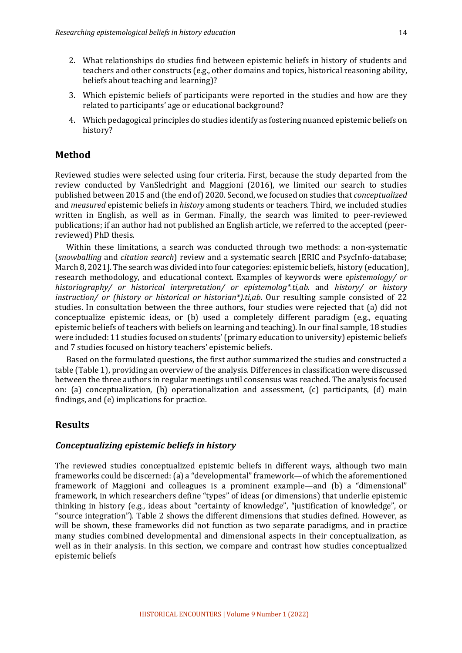- 2. What relationships do studies find between epistemic beliefs in history of students and teachers and other constructs  $(e.g.,$  other domains and topics, historical reasoning ability, beliefs about teaching and learning)?
- 3. Which epistemic beliefs of participants were reported in the studies and how are they related to participants' age or educational background?
- 4. Which pedagogical principles do studies identify as fostering nuanced epistemic beliefs on history?

### **Method**

Reviewed studies were selected using four criteria. First, because the study departed from the review conducted by VanSledright and Maggioni (2016), we limited our search to studies published between 2015 and (the end of) 2020. Second, we focused on studies that *conceptualized* and *measured* epistemic beliefs in *history* among students or teachers. Third, we included studies written in English, as well as in German. Finally, the search was limited to peer-reviewed publications; if an author had not published an English article, we referred to the accepted (peerreviewed) PhD thesis.

Within these limitations, a search was conducted through two methods: a non-systematic (*snowballing* and *citation search*) review and a systematic search [ERIC and PsycInfo-database; March 8, 2021]. The search was divided into four categories: epistemic beliefs, history (education), research methodology, and educational context. Examples of keywords were *epistemology/* or *historiography/ or historical interpretation/ or epistemolog\*.ti,ab.* and *history/ or history instruction/* or (history or historical or historian\*).ti,ab. Our resulting sample consisted of 22 studies. In consultation between the three authors, four studies were rejected that (a) did not conceptualize epistemic ideas, or  $(b)$  used a completely different paradigm (e.g., equating epistemic beliefs of teachers with beliefs on learning and teaching). In our final sample, 18 studies were included: 11 studies focused on students' (primary education to university) epistemic beliefs and 7 studies focused on history teachers' epistemic beliefs.

Based on the formulated questions, the first author summarized the studies and constructed a table (Table 1), providing an overview of the analysis. Differences in classification were discussed between the three authors in regular meetings until consensus was reached. The analysis focused on: (a) conceptualization, (b) operationalization and assessment,  $(c)$  participants,  $(d)$  main findings, and  $(e)$  implications for practice.

# **Results**

#### *Conceptualizing epistemic beliefs in history*

The reviewed studies conceptualized epistemic beliefs in different ways, although two main frameworks could be discerned: (a) a "developmental" framework—of which the aforementioned framework of Maggioni and colleagues is a prominent example—and (b) a "dimensional" framework, in which researchers define "types" of ideas (or dimensions) that underlie epistemic thinking in history (e.g., ideas about "certainty of knowledge", "justification of knowledge", or "source integration"). Table 2 shows the different dimensions that studies defined. However, as will be shown, these frameworks did not function as two separate paradigms, and in practice many studies combined developmental and dimensional aspects in their conceptualization, as well as in their analysis. In this section, we compare and contrast how studies conceptualized epistemic beliefs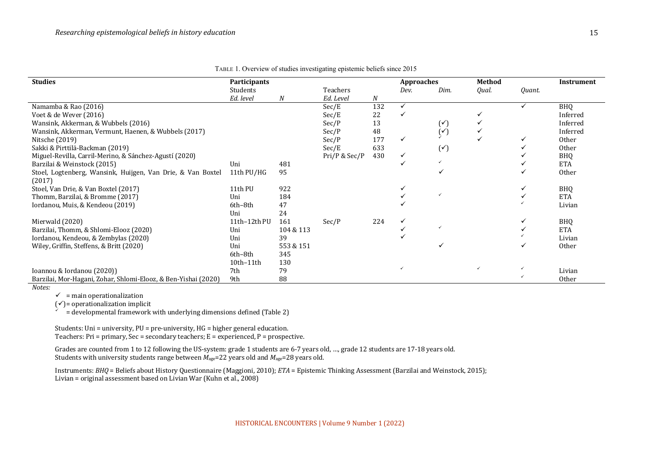| <b>Studies</b>                                                        | Participants |           |               | <b>Approaches</b> |              |                  | Method       |        | Instrument |
|-----------------------------------------------------------------------|--------------|-----------|---------------|-------------------|--------------|------------------|--------------|--------|------------|
|                                                                       | Students     |           | Teachers      |                   | Dev.         | Dim.             | Qual.        | Quant. |            |
|                                                                       | Ed. level    | N         | Ed. Level     | N                 |              |                  |              |        |            |
| Namamba & Rao (2016)                                                  |              |           | Sec/E         | 132               | $\checkmark$ |                  |              |        | <b>BHO</b> |
| Voet & de Wever (2016)                                                |              |           | Sec/E         | 22                |              |                  |              |        | Inferred   |
| Wansink, Akkerman, & Wubbels (2016)                                   |              |           | Sec/P         | 13                |              | $(\check{\tt'})$ |              |        | Inferred   |
| Wansink, Akkerman, Vermunt, Haenen, & Wubbels (2017)                  |              |           | Sec/P         | 48                |              | $(\checkmark)$   |              |        | Inferred   |
| Nitsche (2019)                                                        |              |           | Sec/P         | 177               | ✓            |                  |              | ✓      | Other      |
| Sakki & Pirttilä-Backman (2019)                                       |              |           | Sec/E         | 633               |              | $(\check{ }')$   |              |        | Other      |
| Miguel-Revilla, Carril-Merino, & Sánchez-Agustí (2020)                |              |           | Pri/P & Sec/P | 430               | ✓            |                  |              |        | <b>BHQ</b> |
| Barzilai & Weinstock (2015)                                           | Uni          | 481       |               |                   |              |                  |              |        | <b>ETA</b> |
| Stoel, Logtenberg, Wansink, Huijgen, Van Drie, & Van Boxtel<br>(2017) | 11th PU/HG   | 95        |               |                   |              |                  |              |        | Other      |
| Stoel, Van Drie, & Van Boxtel (2017)                                  | 11th PU      | 922       |               |                   |              |                  |              |        | <b>BHQ</b> |
| Thomm, Barzilai, & Bromme (2017)                                      | Uni          | 184       |               |                   |              |                  |              |        | <b>ETA</b> |
| Iordanou, Muis, & Kendeou (2019)                                      | 6th-8th      | 47        |               |                   |              |                  |              |        | Livian     |
|                                                                       | Uni          | 24        |               |                   |              |                  |              |        |            |
| Mierwald (2020)                                                       | 11th-12th PU | 161       | Sec/P         | 224               |              |                  |              |        | <b>BHQ</b> |
| Barzilai, Thomm, & Shlomi-Elooz (2020)                                | Uni          | 104 & 113 |               |                   |              |                  |              |        | <b>ETA</b> |
| Iordanou, Kendeou, & Zembylas (2020)                                  | Uni          | 39        |               |                   |              |                  |              |        | Livian     |
| Wiley, Griffin, Steffens, & Britt (2020)                              | Uni          | 553 & 151 |               |                   |              |                  |              |        | Other      |
|                                                                       | 6th-8th      | 345       |               |                   |              |                  |              |        |            |
|                                                                       | 10th-11th    | 130       |               |                   |              |                  |              |        |            |
| Ioannou & Iordanou (2020))                                            | 7th          | 79        |               |                   |              |                  | $\checkmark$ |        | Livian     |
| Barzilai, Mor-Hagani, Zohar, Shlomi-Elooz, & Ben-Yishai (2020)        | 9th          | 88        |               |                   |              |                  |              |        | Other      |
| Notes:                                                                |              |           |               |                   |              |                  |              |        |            |

TABLE 1. Overview of studies investigating epistemic beliefs since 2015

 $\checkmark$  = main operationalization

 $(v)$ = operationalization implicit

 $\mathbf{u} = \mathbf{d}$  evelopmental framework with underlying dimensions defined (Table 2)

Students: Uni = university,  $PU = pre$ -university,  $HG = higher general education$ . Teachers: Pri = primary,  $\text{Sec} = \text{secondary teachers}$ ;  $E = \text{expecified}$ , P = prospective.

Grades are counted from 1 to 12 following the US-system: grade 1 students are 6-7 years old, ..., grade 12 students are 17-18 years old. Students with university students range between  $\dot{M}_{\text{age}}$ =22 years old and  $M_{\text{age}}$ =28 years old.

Instruments: *BHQ* = Beliefs about History Questionnaire (Maggioni, 2010); *ETA* = Epistemic Thinking Assessment (Barzilai and Weinstock, 2015); Livian = original assessment based on Livian War (Kuhn et al., 2008)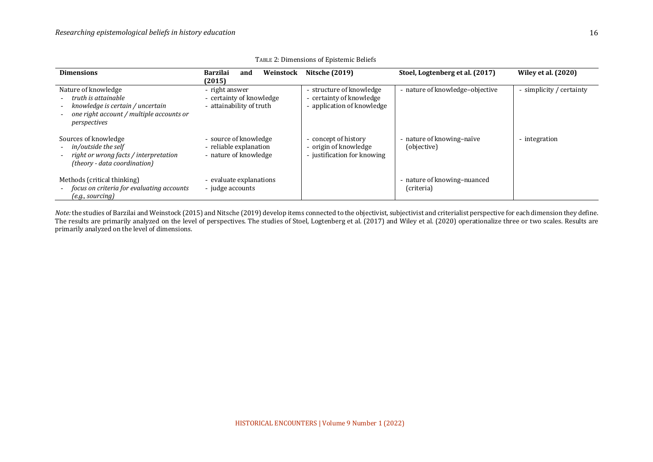| <b>Dimensions</b>                                                                                                                          | Weinstock<br><b>Barzilai</b><br>and<br>(2015)                            | <b>Nitsche (2019)</b>                                                              | Stoel, Logtenberg et al. (2017)           | <b>Wiley et al. (2020)</b> |
|--------------------------------------------------------------------------------------------------------------------------------------------|--------------------------------------------------------------------------|------------------------------------------------------------------------------------|-------------------------------------------|----------------------------|
| Nature of knowledge<br>truth is attainable<br>knowledge is certain / uncertain<br>one right account / multiple accounts or<br>perspectives | - right answer<br>- certainty of knowledge<br>- attainability of truth   | - structure of knowledge<br>- certainty of knowledge<br>- application of knowledge | - nature of knowledge-objective           | - simplicity / certainty   |
| Sources of knowledge<br>- in/outside the self<br>right or wrong facts / interpretation<br>(theory - data coordination)                     | - source of knowledge<br>- reliable explanation<br>- nature of knowledge | - concept of history<br>- origin of knowledge<br>- justification for knowing       | - nature of knowing-naïve<br>(objective)  | - integration              |
| Methods (critical thinking)<br>focus on criteria for evaluating accounts<br>(e.g., sourceing)                                              | - evaluate explanations<br>- judge accounts                              |                                                                                    | - nature of knowing-nuanced<br>(criteria) |                            |

TABLE 2: Dimensions of Epistemic Beliefs

*Note:* the studies of Barzilai and Weinstock (2015) and Nitsche (2019) develop items connected to the objectivist, subjectivist and criterialist perspective for each dimension they define. The results are primarily analyzed on the level of perspectives. The studies of Stoel, Logtenberg et al. (2017) and Wiley et al. (2020) operationalize three or two scales. Results are primarily analyzed on the level of dimensions.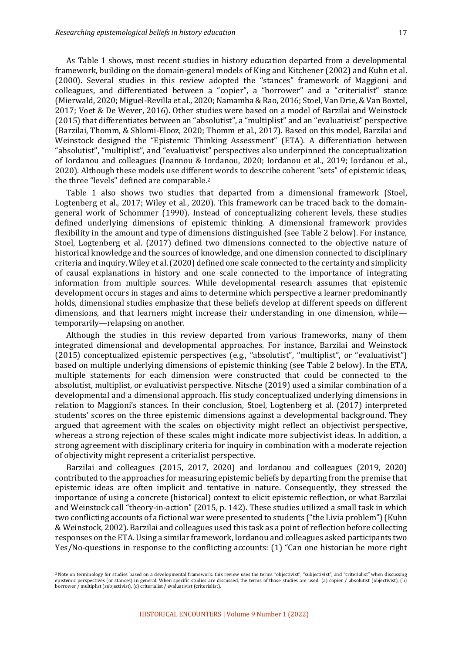As Table 1 shows, most recent studies in history education departed from a developmental framework, building on the domain-general models of King and Kitchener (2002) and Kuhn et al. (2000). Several studies in this review adopted the "stances" framework of Maggioni and colleagues, and differentiated between a "copier", a "borrower" and a "criterialist" stance (Mierwald, 2020; Miguel-Revilla et al., 2020; Namamba & Rao, 2016; Stoel, Van Drie, & Van Boxtel, 2017; Voet & De Wever, 2016). Other studies were based on a model of Barzilai and Weinstock (2015) that differentiates between an "absolutist", a "multiplist" and an "evaluativist" perspective (Barzilai, Thomm, & Shlomi-Elooz, 2020; Thomm et al., 2017). Based on this model, Barzilai and Weinstock designed the "Epistemic Thinking Assessment" (ETA). A differentiation between "absolutist", "multiplist", and "evaluativist" perspectives also underpinned the conceptualization of Iordanou and colleagues (Ioannou & Iordanou, 2020; Iordanou et al., 2019; Iordanou et al., 2020). Although these models use different words to describe coherent "sets" of epistemic ideas, the three "levels" defined are comparable.<sup>2</sup>

Table 1 also shows two studies that departed from a dimensional framework (Stoel, Logtenberg et al., 2017; Wiley et al., 2020). This framework can be traced back to the domaingeneral work of Schommer (1990). Instead of conceptualizing coherent levels, these studies defined underlying dimensions of epistemic thinking. A dimensional framework provides flexibility in the amount and type of dimensions distinguished (see Table 2 below). For instance, Stoel, Logtenberg et al. (2017) defined two dimensions connected to the objective nature of historical knowledge and the sources of knowledge, and one dimension connected to disciplinary criteria and inquiry. Wiley et al. (2020) defined one scale connected to the certainty and simplicity of causal explanations in history and one scale connected to the importance of integrating information from multiple sources. While developmental research assumes that epistemic development occurs in stages and aims to determine which perspective a learner predominantly holds, dimensional studies emphasize that these beliefs develop at different speeds on different dimensions, and that learners might increase their understanding in one dimension, whiletemporarily—relapsing on another.

Although the studies in this review departed from various frameworks, many of them integrated dimensional and developmental approaches. For instance, Barzilai and Weinstock (2015) conceptualized epistemic perspectives (e.g., "absolutist", "multiplist", or "evaluativist") based on multiple underlying dimensions of epistemic thinking (see Table 2 below). In the ETA, multiple statements for each dimension were constructed that could be connected to the absolutist, multiplist, or evaluativist perspective. Nitsche (2019) used a similar combination of a developmental and a dimensional approach. His study conceptualized underlying dimensions in relation to Maggioni's stances. In their conclusion, Stoel, Logtenberg et al. (2017) interpreted students' scores on the three epistemic dimensions against a developmental background. They argued that agreement with the scales on objectivity might reflect an objectivist perspective, whereas a strong rejection of these scales might indicate more subjectivist ideas. In addition, a strong agreement with disciplinary criteria for inquiry in combination with a moderate rejection of objectivity might represent a criterialist perspective.

Barzilai and colleagues (2015, 2017, 2020) and Iordanou and colleagues (2019, 2020) contributed to the approaches for measuring epistemic beliefs by departing from the premise that epistemic ideas are often implicit and tentative in nature. Consequently, they stressed the importance of using a concrete (historical) context to elicit epistemic reflection, or what Barzilai and Weinstock call "theory-in-action" (2015, p. 142). These studies utilized a small task in which two conflicting accounts of a fictional war were presented to students ("the Livia problem") (Kuhn & Weinstock, 2002). Barzilai and colleagues used this task as a point of reflection before collecting responses on the ETA. Using a similar framework, Iordanou and colleagues asked participants two Yes/No-questions in response to the conflicting accounts:  $(1)$  "Can one historian be more right

<sup>&</sup>lt;sup>2</sup> Note on terminology for studies based on a developmental framework: this review uses the terms "objectivist", "subjectivist", and "criterialist" when discussing epistemic perspectives (or stances) in general. When specific studies are discussed, the terms of those studies are used: (a) copier / absolutist (objectivist), (b)  $\frac{1}{2}$ borrower / multiplist (subjectivist), (c) criterialist / evaluativist (criterialist).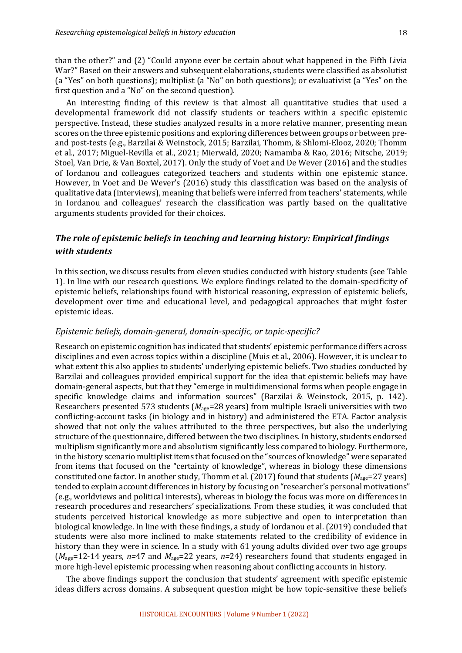than the other?" and (2) "Could anyone ever be certain about what happened in the Fifth Livia War?" Based on their answers and subsequent elaborations, students were classified as absolutist (a "Yes" on both questions); multiplist (a "No" on both questions); or evaluativist (a "Yes" on the first question and a "No" on the second question).

An interesting finding of this review is that almost all quantitative studies that used a developmental framework did not classify students or teachers within a specific epistemic perspective. Instead, these studies analyzed results in a more relative manner, presenting mean scores on the three epistemic positions and exploring differences between groups or between preand post-tests (e.g., Barzilai & Weinstock, 2015; Barzilai, Thomm, & Shlomi-Elooz, 2020; Thomm et al., 2017; Miguel-Revilla et al., 2021; Mierwald, 2020; Namamba & Rao, 2016; Nitsche, 2019; Stoel, Van Drie, & Van Boxtel, 2017). Only the study of Voet and De Wever (2016) and the studies of Iordanou and colleagues categorized teachers and students within one epistemic stance. However, in Voet and De Wever's (2016) study this classification was based on the analysis of qualitative data (interviews), meaning that beliefs were inferred from teachers' statements, while in Iordanou and colleagues' research the classification was partly based on the qualitative arguments students provided for their choices.

# The role of epistemic beliefs in teaching and learning history: Empirical findings *with students*

In this section, we discuss results from eleven studies conducted with history students (see Table 1). In line with our research questions. We explore findings related to the domain-specificity of epistemic beliefs, relationships found with historical reasoning, expression of epistemic beliefs, development over time and educational level, and pedagogical approaches that might foster epistemic ideas.

## Epistemic beliefs, domain-general, domain-specific, or topic-specific?

Research on epistemic cognition has indicated that students' epistemic performance differs across disciplines and even across topics within a discipline (Muis et al., 2006). However, it is unclear to what extent this also applies to students' underlying epistemic beliefs. Two studies conducted by Barzilai and colleagues provided empirical support for the idea that epistemic beliefs may have domain-general aspects, but that they "emerge in multidimensional forms when people engage in specific knowledge claims and information sources" (Barzilai & Weinstock, 2015, p. 142). Researchers presented 573 students  $(M_{\text{age}}=28 \text{ years})$  from multiple Israeli universities with two conflicting-account tasks (in biology and in history) and administered the ETA. Factor analysis showed that not only the values attributed to the three perspectives, but also the underlying structure of the questionnaire, differed between the two disciplines. In history, students endorsed multiplism significantly more and absolutism significantly less compared to biology. Furthermore, in the history scenario multiplist items that focused on the "sources of knowledge" were separated from items that focused on the "certainty of knowledge", whereas in biology these dimensions constituted one factor. In another study, Thomm et al. (2017) found that students  $(M_{\text{age}}=27 \text{ years})$ tended to explain account differences in history by focusing on "researcher's personal motivations" (e.g., worldviews and political interests), whereas in biology the focus was more on differences in research procedures and researchers' specializations. From these studies, it was concluded that students perceived historical knowledge as more subjective and open to interpretation than biological knowledge. In line with these findings, a study of Iordanou et al. (2019) concluded that students were also more inclined to make statements related to the credibility of evidence in history than they were in science. In a study with 61 young adults divided over two age groups  $(M<sub>age</sub>=12-14$  years,  $n=47$  and  $M<sub>age</sub>=22$  years,  $n=24$ ) researchers found that students engaged in more high-level epistemic processing when reasoning about conflicting accounts in history.

The above findings support the conclusion that students' agreement with specific epistemic ideas differs across domains. A subsequent question might be how topic-sensitive these beliefs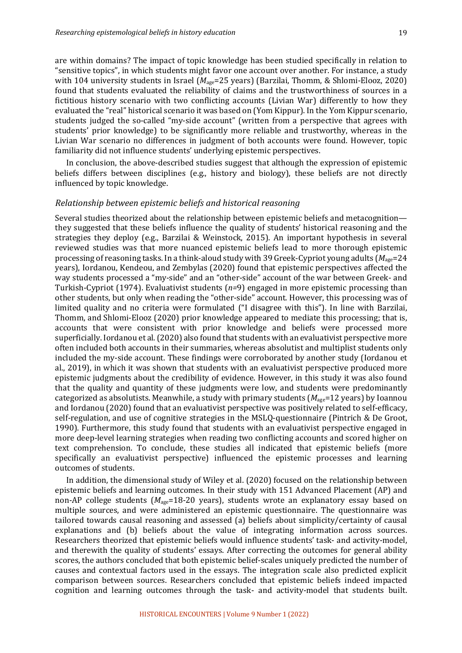are within domains? The impact of topic knowledge has been studied specifically in relation to "sensitive topics", in which students might favor one account over another. For instance, a study with 104 university students in Israel (*M*<sub>age</sub>=25 years) (Barzilai, Thomm, & Shlomi-Elooz, 2020) found that students evaluated the reliability of claims and the trustworthiness of sources in a fictitious history scenario with two conflicting accounts (Livian War) differently to how they evaluated the "real" historical scenario it was based on (Yom Kippur). In the Yom Kippur scenario, students judged the so-called "my-side account" (written from a perspective that agrees with students' prior knowledge) to be significantly more reliable and trustworthy, whereas in the Livian War scenario no differences in judgment of both accounts were found. However, topic familiarity did not influence students' underlying epistemic perspectives.

In conclusion, the above-described studies suggest that although the expression of epistemic beliefs differs between disciplines (e.g., history and biology), these beliefs are not directly influenced by topic knowledge.

### *Relationship between epistemic beliefs and historical reasoning*

Several studies theorized about the relationship between epistemic beliefs and metacognition they suggested that these beliefs influence the quality of students' historical reasoning and the strategies they deploy (e.g., Barzilai & Weinstock, 2015). An important hypothesis in several reviewed studies was that more nuanced epistemic beliefs lead to more thorough epistemic processing of reasoning tasks. In a think-aloud study with 39 Greek-Cypriot young adults  $(M_{\text{age}}=24)$ years), Iordanou, Kendeou, and Zembylas (2020) found that epistemic perspectives affected the way students processed a "my-side" and an "other-side" account of the war between Greek- and Turkish-Cypriot (1974). Evaluativist students  $(n=9)$  engaged in more epistemic processing than other students, but only when reading the "other-side" account. However, this processing was of limited quality and no criteria were formulated ("I disagree with this"). In line with Barzilai, Thomm, and Shlomi-Elooz (2020) prior knowledge appeared to mediate this processing; that is, accounts that were consistent with prior knowledge and beliefs were processed more superficially. Iordanou et al. (2020) also found that students with an evaluativist perspective more often included both accounts in their summaries, whereas absolutist and multiplist students only included the my-side account. These findings were corroborated by another study (Iordanou et al., 2019), in which it was shown that students with an evaluativist perspective produced more epistemic judgments about the credibility of evidence. However, in this study it was also found that the quality and quantity of these judgments were low, and students were predominantly categorized as absolutists. Meanwhile, a study with primary students  $(M_{\text{age}}=12 \text{ years})$  by Ioannou and Iordanou (2020) found that an evaluativist perspective was positively related to self-efficacy, self-regulation, and use of cognitive strategies in the  $MSLQ$ -questionnaire (Pintrich & De Groot, 1990). Furthermore, this study found that students with an evaluativist perspective engaged in more deep-level learning strategies when reading two conflicting accounts and scored higher on text comprehension. To conclude, these studies all indicated that epistemic beliefs (more specifically an evaluativist perspective) influenced the epistemic processes and learning outcomes of students.

In addition, the dimensional study of Wiley et al.  $(2020)$  focused on the relationship between epistemic beliefs and learning outcomes. In their study with 151 Advanced Placement (AP) and non-AP college students ( $M_{\text{age}}$ =18-20 years), students wrote an explanatory essay based on multiple sources, and were administered an epistemic questionnaire. The questionnaire was tailored towards causal reasoning and assessed (a) beliefs about simplicity/certainty of causal explanations and (b) beliefs about the value of integrating information across sources. Researchers theorized that epistemic beliefs would influence students' task- and activity-model, and therewith the quality of students' essays. After correcting the outcomes for general ability scores, the authors concluded that both epistemic belief-scales uniquely predicted the number of causes and contextual factors used in the essays. The integration scale also predicted explicit comparison between sources. Researchers concluded that epistemic beliefs indeed impacted cognition and learning outcomes through the task- and activity-model that students built.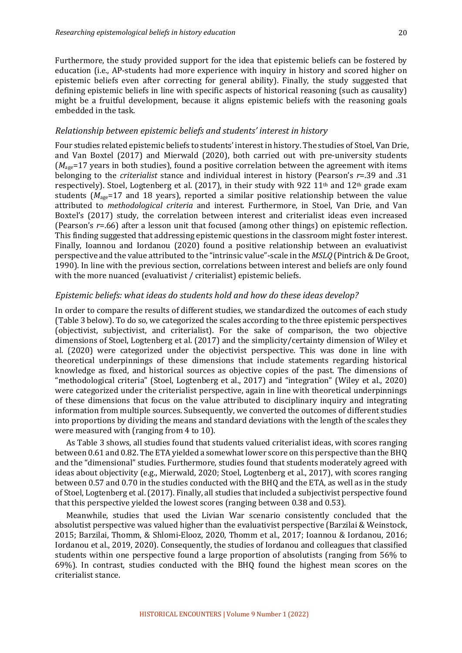20

Furthermore, the study provided support for the idea that epistemic beliefs can be fostered by education (i.e., AP-students had more experience with inquiry in history and scored higher on epistemic beliefs even after correcting for general ability). Finally, the study suggested that defining epistemic beliefs in line with specific aspects of historical reasoning (such as causality) might be a fruitful development, because it aligns epistemic beliefs with the reasoning goals embedded in the task.

## *Relationship between epistemic beliefs and students' interest in history*

Four studies related epistemic beliefs to students' interest in history. The studies of Stoel, Van Drie, and Van Boxtel (2017) and Mierwald (2020), both carried out with pre-university students  $(M<sub>age</sub>=17$  years in both studies), found a positive correlation between the agreement with items belonging to the *criterialist* stance and individual interest in history (Pearson's *r*=.39 and .31 respectively). Stoel, Logtenberg et al. (2017), in their study with 922 11<sup>th</sup> and 12<sup>th</sup> grade exam students  $(M_{\text{age}}=17$  and 18 years), reported a similar positive relationship between the value attributed to *methodological criteria* and interest. Furthermore, in Stoel, Van Drie, and Van Boxtel's (2017) study, the correlation between interest and criterialist ideas even increased (Pearson's  $r=0.66$ ) after a lesson unit that focused (among other things) on epistemic reflection. This finding suggested that addressing epistemic questions in the classroom might foster interest. Finally, Ioannou and Iordanou (2020) found a positive relationship between an evaluativist perspective and the value attributed to the "intrinsic value"-scale in the MSLQ (Pintrich & De Groot, 1990). In line with the previous section, correlations between interest and beliefs are only found with the more nuanced (evaluativist / criterialist) epistemic beliefs.

# Epistemic beliefs: what ideas do students hold and how do these ideas develop?

In order to compare the results of different studies, we standardized the outcomes of each study (Table 3 below). To do so, we categorized the scales according to the three epistemic perspectives (objectivist, subjectivist, and criterialist). For the sake of comparison, the two objective dimensions of Stoel, Logtenberg et al.  $(2017)$  and the simplicity/certainty dimension of Wiley et al. (2020) were categorized under the objectivist perspective. This was done in line with theoretical underpinnings of these dimensions that include statements regarding historical knowledge as fixed, and historical sources as objective copies of the past. The dimensions of "methodological criteria" (Stoel, Logtenberg et al., 2017) and "integration" (Wiley et al., 2020) were categorized under the criterialist perspective, again in line with theoretical underpinnings of these dimensions that focus on the value attributed to disciplinary inquiry and integrating information from multiple sources. Subsequently, we converted the outcomes of different studies into proportions by dividing the means and standard deviations with the length of the scales they were measured with (ranging from  $4$  to 10).

As Table 3 shows, all studies found that students valued criterialist ideas, with scores ranging between 0.61 and 0.82. The ETA yielded a somewhat lower score on this perspective than the BHQ and the "dimensional" studies. Furthermore, studies found that students moderately agreed with ideas about objectivity (e.g., Mierwald, 2020; Stoel, Logtenberg et al., 2017), with scores ranging between 0.57 and 0.70 in the studies conducted with the BHQ and the ETA, as well as in the study of Stoel, Logtenberg et al. (2017). Finally, all studies that included a subjectivist perspective found that this perspective yielded the lowest scores (ranging between 0.38 and 0.53).

Meanwhile, studies that used the Livian War scenario consistently concluded that the absolutist perspective was valued higher than the evaluativist perspective (Barzilai & Weinstock, 2015; Barzilai, Thomm, & Shlomi-Elooz, 2020, Thomm et al., 2017; Ioannou & Iordanou, 2016; Iordanou et al., 2019, 2020). Consequently, the studies of Iordanou and colleagues that classified students within one perspective found a large proportion of absolutists (ranging from 56% to 69%). In contrast, studies conducted with the BHQ found the highest mean scores on the criterialist stance.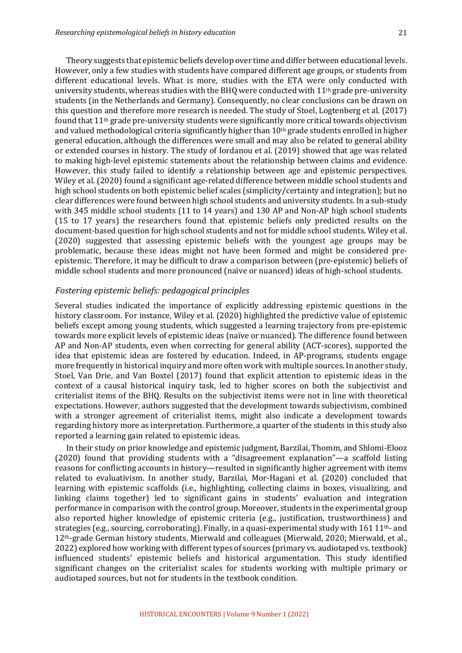Theory suggests that epistemic beliefs develop over time and differ between educational levels. However, only a few studies with students have compared different age groups, or students from different educational levels. What is more, studies with the ETA were only conducted with university students, whereas studies with the BHQ were conducted with  $11<sup>th</sup>$  grade pre-university students (in the Netherlands and Germany). Consequently, no clear conclusions can be drawn on this question and therefore more research is needed. The study of Stoel, Logtenberg et al. (2017) found that  $11<sup>th</sup>$  grade pre-university students were significantly more critical towards objectivism and valued methodological criteria significantly higher than 10<sup>th</sup> grade students enrolled in higher general education, although the differences were small and may also be related to general ability or extended courses in history. The study of Iordanou et al. (2019) showed that age was related to making high-level epistemic statements about the relationship between claims and evidence. However, this study failed to identify a relationship between age and epistemic perspectives. Wiley et al. (2020) found a significant age-related difference between middle school students and high school students on both epistemic belief scales (simplicity/certainty and integration); but no clear differences were found between high school students and university students. In a sub-study with  $345$  middle school students  $(11$  to  $14$  years) and  $130$  AP and Non-AP high school students (15 to 17 years) the researchers found that epistemic beliefs only predicted results on the document-based question for high school students and not for middle school students. Wiley et al. (2020) suggested that assessing epistemic beliefs with the youngest age groups may be problematic, because these ideas might not have been formed and might be considered preepistemic. Therefore, it may be difficult to draw a comparison between (pre-epistemic) beliefs of middle school students and more pronounced (naïve or nuanced) ideas of high-school students.

## *Fostering epistemic beliefs: pedagogical principles*

Several studies indicated the importance of explicitly addressing epistemic questions in the history classroom. For instance, Wiley et al. (2020) highlighted the predictive value of epistemic beliefs except among young students, which suggested a learning trajectory from pre-epistemic towards more explicit levels of epistemic ideas (naïve or nuanced). The difference found between AP and Non-AP students, even when correcting for general ability (ACT-scores), supported the idea that epistemic ideas are fostered by education. Indeed, in AP-programs, students engage more frequently in historical inquiry and more often work with multiple sources. In another study, Stoel, Van Drie, and Van Boxtel (2017) found that explicit attention to epistemic ideas in the context of a causal historical inquiry task, led to higher scores on both the subjectivist and criterialist items of the BHQ. Results on the subjectivist items were not in line with theoretical expectations. However, authors suggested that the development towards subjectivism, combined with a stronger agreement of criterialist items, might also indicate a development towards regarding history more as interpretation. Furthermore, a quarter of the students in this study also reported a learning gain related to epistemic ideas.

In their study on prior knowledge and epistemic judgment, Barzilai, Thomm, and Shlomi-Elooz (2020) found that providing students with a "disagreement explanation"—a scaffold listing reasons for conflicting accounts in history—resulted in significantly higher agreement with items related to evaluativism. In another study, Barzilai, Mor-Hagani et al. (2020) concluded that learning with epistemic scaffolds (i.e., highlighting, collecting claims in boxes, visualizing, and linking claims together) led to significant gains in students' evaluation and integration performance in comparison with the control group. Moreover, students in the experimental group also reported higher knowledge of epistemic criteria (e.g., justification, trustworthiness) and strategies (e.g., sourcing, corroborating). Finally, in a quasi-experimental study with 161 11<sup>th</sup>- and 12<sup>th</sup>-grade German history students, Mierwald and colleagues (Mierwald, 2020; Mierwald, et al., 2022) explored how working with different types of sources (primary vs. audiotaped vs. textbook) influenced students' epistemic beliefs and historical argumentation. This study identified significant changes on the criterialist scales for students working with multiple primary or audiotaped sources, but not for students in the textbook condition.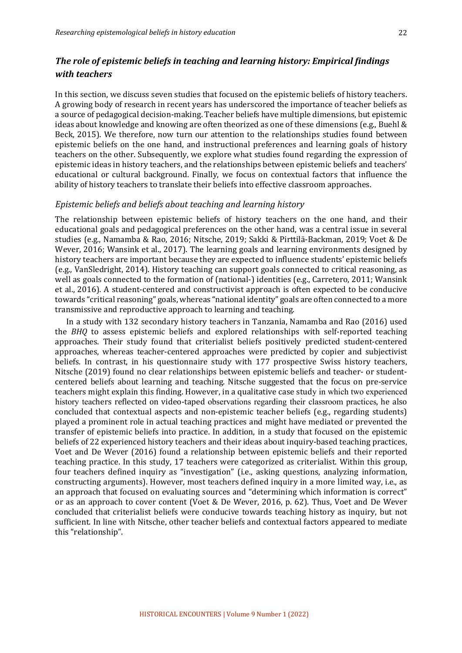# *The role of epistemic beliefs in teaching and learning history: Empirical findings with teachers*

In this section, we discuss seven studies that focused on the epistemic beliefs of history teachers. A growing body of research in recent years has underscored the importance of teacher beliefs as a source of pedagogical decision-making. Teacher beliefs have multiple dimensions, but epistemic ideas about knowledge and knowing are often theorized as one of these dimensions (e.g., Buehl  $\&$ Beck, 2015). We therefore, now turn our attention to the relationships studies found between epistemic beliefs on the one hand, and instructional preferences and learning goals of history teachers on the other. Subsequently, we explore what studies found regarding the expression of epistemic ideas in history teachers, and the relationships between epistemic beliefs and teachers' educational or cultural background. Finally, we focus on contextual factors that influence the ability of history teachers to translate their beliefs into effective classroom approaches.

#### *Epistemic beliefs and beliefs about teaching and learning history*

The relationship between epistemic beliefs of history teachers on the one hand, and their educational goals and pedagogical preferences on the other hand, was a central issue in several studies (e.g., Namamba & Rao, 2016; Nitsche, 2019; Sakki & Pirttilä-Backman, 2019; Voet & De Wever, 2016; Wansink et al., 2017). The learning goals and learning environments designed by history teachers are important because they are expected to influence students' epistemic beliefs  $(e.g., VanSledright, 2014)$ . History teaching can support goals connected to critical reasoning, as well as goals connected to the formation of (national-) identities (e.g., Carretero, 2011; Wansink et al., 2016). A student-centered and constructivist approach is often expected to be conducive towards "critical reasoning" goals, whereas "national identity" goals are often connected to a more transmissive and reproductive approach to learning and teaching.

In a study with 132 secondary history teachers in Tanzania, Namamba and Rao (2016) used the *BHQ* to assess epistemic beliefs and explored relationships with self-reported teaching approaches. Their study found that criterialist beliefs positively predicted student-centered approaches, whereas teacher-centered approaches were predicted by copier and subjectivist beliefs. In contrast, in his questionnaire study with 177 prospective Swiss history teachers, Nitsche (2019) found no clear relationships between epistemic beliefs and teacher- or studentcentered beliefs about learning and teaching. Nitsche suggested that the focus on pre-service teachers might explain this finding. However, in a qualitative case study in which two experienced history teachers reflected on video-taped observations regarding their classroom practices, he also concluded that contextual aspects and non-epistemic teacher beliefs (e.g., regarding students) played a prominent role in actual teaching practices and might have mediated or prevented the transfer of epistemic beliefs into practice. In addition, in a study that focused on the epistemic beliefs of 22 experienced history teachers and their ideas about inquiry-based teaching practices, Voet and De Wever (2016) found a relationship between epistemic beliefs and their reported teaching practice. In this study, 17 teachers were categorized as criterialist. Within this group, four teachers defined inquiry as "investigation" (i.e., asking questions, analyzing information, constructing arguments). However, most teachers defined inquiry in a more limited way, i.e., as an approach that focused on evaluating sources and "determining which information is correct" or as an approach to cover content (Voet & De Wever, 2016, p. 62). Thus, Voet and De Wever concluded that criterialist beliefs were conducive towards teaching history as inquiry, but not sufficient. In line with Nitsche, other teacher beliefs and contextual factors appeared to mediate this "relationship".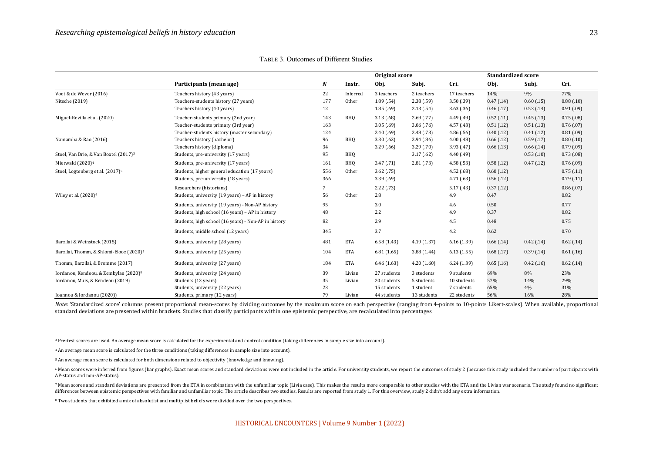|                                                                                       |                                                                                                      | Original score        |                  |                                           |                                       | <b>Standardized score</b>               |                          |                            |                          |
|---------------------------------------------------------------------------------------|------------------------------------------------------------------------------------------------------|-----------------------|------------------|-------------------------------------------|---------------------------------------|-----------------------------------------|--------------------------|----------------------------|--------------------------|
|                                                                                       | Participants (mean age)                                                                              | N                     | Instr.           | Obj.                                      | Subj.                                 | Cri.                                    | Obj.                     | Subj.                      | Cri.                     |
| Voet & de Wever (2016)                                                                | Teachers history (43 years)                                                                          | 22                    | Inferred         | 3 teachers                                | 2 teachers                            | 17 teachers                             | 14%                      | 9%                         | 77%                      |
| Nitsche (2019)                                                                        | Teachers-students history (27 years)<br>Teachers history (40 years)                                  | 177<br>12             | Other            | 1.89(0.54)<br>1.85(0.69)                  | 2.38(.59)<br>2.13(54)                 | 3.50(0.39)<br>3.63(0.36)                | 0.47(0.14)<br>0.46(0.17) | $0.60$ (.15)<br>0.53(0.14) | 0.88(0.10)<br>0.91(0.09) |
| Miguel-Revilla et al. (2020)                                                          | Teacher-students primary (2nd year)<br>Teacher-students primary (3rd year)                           | 143<br>163            | BHQ              | 3.13(68)<br>3.05(0.69)                    | 2.69(0.77)<br>3.06(0.76)              | 4.49(.49)<br>4.57(0.43)                 | 0.52(0.11)<br>0.51(0.12) | 0.45(0.13)<br>0.51(0.13)   | 0.75(0.08)<br>0.76(0.07) |
| Namamba & Rao (2016)                                                                  | Teacher-students history (master secondary)<br>Teachers history (bachelor)                           | 124<br>96             | <b>BHQ</b>       | 2.40(0.69)<br>3.30(62)                    | 2.48(0.73)<br>2.94(0.86)              | 4.86(0.56)<br>4.00(48)                  | 0.40(0.12)<br>0.66(0.12) | 0.41(0.12)<br>0.59(0.17)   | 0.81(0.09)<br>0.80(0.10) |
| Stoel, Van Drie, & Van Boxtel (2017) <sup>3</sup>                                     | Teachers history (diploma)<br>Students, pre-university (17 years)                                    | 34<br>95              | <b>BHQ</b>       | 3.29(0.66)                                | 3.29(0.70)<br>3.17(62)                | 3.93(47)<br>4.40(49)                    | 0.66(0.13)               | 0.66(0.14)<br>0.53(0.10)   | 0.79(0.09)<br>0.73(0.08) |
| Mierwald (2020) <sup>4</sup>                                                          | Students, pre-university (17 years)                                                                  | 161                   | <b>BHQ</b>       | 3.47(0.71)                                | 2.81(0.73)                            | 4.58(0.53)                              | 0.58(0.12)               | 0.47(0.12)                 | 0.76(0.09)               |
| Stoel, Logtenberg et al. (2017) <sup>5</sup>                                          | Students, higher general education (17 years)<br>Students, pre-university (18 years)                 | 556<br>366            | Other            | 3.62(.75)<br>3.39(0.69)                   |                                       | 4.52(68)<br>4.71(63)                    | 0.60(0.12)<br>0.56(0.12) |                            | 0.75(0.11)<br>0.79(0.11) |
| Wiley et al. (2020) <sup>6</sup>                                                      | Researchers (historians)<br>Students, university (19 years) - AP in history                          | $7\phantom{.0}$<br>56 | Other            | 2.22(0.73)<br>2.8                         |                                       | 5.17(0.43)<br>4.9                       | 0.37(0.12)<br>0.47       |                            | 0.86(0.07)<br>0.82       |
|                                                                                       | Students, university (19 years) - Non-AP history<br>Students, high school (16 years) - AP in history | 95<br>48              |                  | 3.0<br>2.2                                |                                       | 4.6<br>4.9                              | 0.50<br>0.37             |                            | 0.77<br>0.82             |
|                                                                                       | Students, high school (16 years) - Non-AP in history                                                 | 82                    |                  | 2.9                                       |                                       | 4.5                                     | 0.48                     |                            | 0.75                     |
|                                                                                       | Students, middle school (12 years)                                                                   | 345                   |                  | 3.7                                       |                                       | 4.2                                     | 0.62                     |                            | 0.70                     |
| Barzilai & Weinstock (2015)                                                           | Students, university (28 years)                                                                      | 481                   | <b>ETA</b>       | 6.58(1.43)                                | 4.19(1.37)                            | 6.16(1.39)                              | 0.66(0.14)               | 0.42(0.14)                 | 0.62(0.14)               |
| Barzilai, Thomm, & Shlomi-Elooz (2020) <sup>7</sup>                                   | Students, university (25 years)                                                                      | 104                   | <b>ETA</b>       | 6.81(1.65)                                | 3.88(1.44)                            | 6.13(1.55)                              | 0.68(0.17)               | 0.39(0.14)                 | 0.61(0.16)               |
| Thomm, Barzilai, & Bromme (2017)                                                      | Students, university (27 years)                                                                      | 184                   | <b>ETA</b>       | 6.46(1.63)                                | 4.20(1.60)                            | 6.24(1.39)                              | 0.65(0.16)               | 0.42(0.16)                 | 0.62(0.14)               |
| Iordanou, Kendeou, & Zembylas (2020) <sup>8</sup><br>Iordanou, Muis, & Kendeou (2019) | Students, university (24 years)<br>Students (12 years)<br>Students, university (22 years)            | 39<br>35<br>23        | Livian<br>Livian | 27 students<br>20 students<br>15 students | 3 students<br>5 students<br>1 student | 9 students<br>10 students<br>7 students | 69%<br>57%<br>65%        | 8%<br>14%<br>4%            | 23%<br>29%<br>31%        |
| Ioannou & Iordanou (2020))                                                            | Students, primary (12 years)                                                                         | 79                    | Livian           | 44 students                               | 13 students                           | 22 students                             | 56%                      | 16%                        | 28%                      |

TABLE 3. Outcomes of Different Studies

Note: 'Standardized score' columns present proportional mean-scores by dividing outcomes by the maximum score on each perspective (ranging from 4-points to 10-points Likert-scales). When available, proportional standard deviations are presented within brackets. Studies that classify participants within one epistemic perspective, are recalculated into percentages.

<sup>3</sup> Pre-test scores are used. An average mean score is calculated for the experimental and control condition (taking differences in sample size into account).

<sup>4</sup> An average mean score is calculated for the three conditions (taking differences in sample size into account).

<sup>5</sup> An average mean score is calculated for both dimensions related to objectivity (knowledge and knowing).

<sup>6</sup> Mean scores were inferred from figures (bar graphs). Exact mean scores and standard deviations were not included in the article. For university students, we report the outcomes of study 2 (because this study included t AP-status and non-AP-status).

7 Mean scores and standard deviations are presented from the ETA in combination with the unfamiliar topic (Livia case). This makes the results more comparable to other studies with the ETA and the Livian war scenario. The differences between epistemic perspectives with familiar and unfamiliar topic. The article describes two studies. Results are reported from study 1. For this overview, study 2 didn't add any extra information.

<sup>8</sup> Two students that exhibited a mix of absolutist and multiplist beliefs were divided over the two perspectives.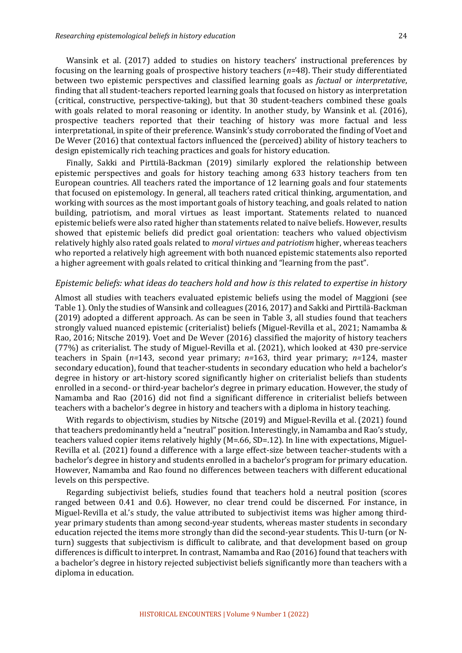Wansink et al. (2017) added to studies on history teachers' instructional preferences by focusing on the learning goals of prospective history teachers  $(n=48)$ . Their study differentiated between two epistemic perspectives and classified learning goals as *factual* or *interpretative*, finding that all student-teachers reported learning goals that focused on history as interpretation (critical, constructive, perspective-taking), but that 30 student-teachers combined these goals with goals related to moral reasoning or identity. In another study, by Wansink et al.  $(2016)$ , prospective teachers reported that their teaching of history was more factual and less interpretational, in spite of their preference. Wansink's study corroborated the finding of Voet and De Wever (2016) that contextual factors influenced the (perceived) ability of history teachers to design epistemically rich teaching practices and goals for history education.

Finally, Sakki and Pirttilä-Backman (2019) similarly explored the relationship between epistemic perspectives and goals for history teaching among 633 history teachers from ten European countries. All teachers rated the importance of 12 learning goals and four statements that focused on epistemology. In general, all teachers rated critical thinking, argumentation, and working with sources as the most important goals of history teaching, and goals related to nation building, patriotism, and moral virtues as least important. Statements related to nuanced epistemic beliefs were also rated higher than statements related to naïve beliefs. However, results showed that epistemic beliefs did predict goal orientation: teachers who valued objectivism relatively highly also rated goals related to *moral virtues and patriotism* higher, whereas teachers who reported a relatively high agreement with both nuanced epistemic statements also reported a higher agreement with goals related to critical thinking and "learning from the past".

#### *Epistemic beliefs: what ideas do teachers hold and how is this related to expertise in history*

Almost all studies with teachers evaluated epistemic beliefs using the model of Maggioni (see Table 1). Only the studies of Wansink and colleagues (2016, 2017) and Sakki and Pirttilä-Backman (2019) adopted a different approach. As can be seen in Table 3, all studies found that teachers strongly valued nuanced epistemic (criterialist) beliefs (Miguel-Revilla et al., 2021; Namamba & Rao, 2016; Nitsche 2019). Voet and De Wever (2016) classified the majority of history teachers (77%) as criterialist. The study of Miguel-Revilla et al. (2021), which looked at 430 pre-service teachers in Spain (*n*=143, second year primary; *n*=163, third year primary; *n*=124, master secondary education), found that teacher-students in secondary education who held a bachelor's degree in history or art-history scored significantly higher on criterialist beliefs than students enrolled in a second- or third-year bachelor's degree in primary education. However, the study of Namamba and Rao (2016) did not find a significant difference in criterialist beliefs between teachers with a bachelor's degree in history and teachers with a diploma in history teaching.

With regards to objectivism, studies by Nitsche (2019) and Miguel-Revilla et al. (2021) found that teachers predominantly held a "neutral" position. Interestingly, in Namamba and Rao's study, teachers valued copier items relatively highly (M=.66, SD=.12). In line with expectations, Miguel-Revilla et al. (2021) found a difference with a large effect-size between teacher-students with a bachelor's degree in history and students enrolled in a bachelor's program for primary education. However, Namamba and Rao found no differences between teachers with different educational levels on this perspective.

Regarding subjectivist beliefs, studies found that teachers hold a neutral position (scores ranged between 0.41 and 0.6). However, no clear trend could be discerned. For instance, in Miguel-Revilla et al.'s study, the value attributed to subjectivist items was higher among thirdyear primary students than among second-year students, whereas master students in secondary education rejected the items more strongly than did the second-year students. This U-turn (or Nturn) suggests that subjectivism is difficult to calibrate, and that development based on group differences is difficult to interpret. In contrast, Namamba and Rao  $(2016)$  found that teachers with a bachelor's degree in history rejected subjectivist beliefs significantly more than teachers with a diploma in education.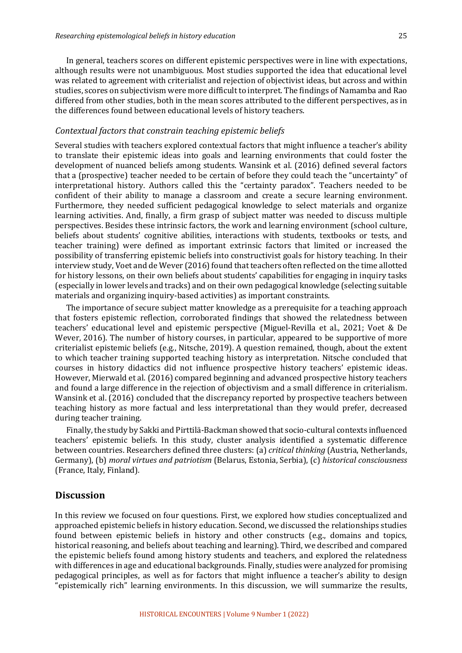In general, teachers scores on different epistemic perspectives were in line with expectations, although results were not unambiguous. Most studies supported the idea that educational level was related to agreement with criterialist and rejection of objectivist ideas, but across and within studies, scores on subjectivism were more difficult to interpret. The findings of Namamba and Rao differed from other studies, both in the mean scores attributed to the different perspectives, as in the differences found between educational levels of history teachers.

### Contextual factors that constrain teaching epistemic beliefs

Several studies with teachers explored contextual factors that might influence a teacher's ability to translate their epistemic ideas into goals and learning environments that could foster the development of nuanced beliefs among students. Wansink et al. (2016) defined several factors that a (prospective) teacher needed to be certain of before they could teach the "uncertainty" of interpretational history. Authors called this the "certainty paradox". Teachers needed to be confident of their ability to manage a classroom and create a secure learning environment. Furthermore, they needed sufficient pedagogical knowledge to select materials and organize learning activities. And, finally, a firm grasp of subject matter was needed to discuss multiple perspectives. Besides these intrinsic factors, the work and learning environment (school culture, beliefs about students' cognitive abilities, interactions with students, textbooks or tests, and teacher training) were defined as important extrinsic factors that limited or increased the possibility of transferring epistemic beliefs into constructivist goals for history teaching. In their interview study, Voet and de Wever (2016) found that teachers often reflected on the time allotted for history lessons, on their own beliefs about students' capabilities for engaging in inquiry tasks (especially in lower levels and tracks) and on their own pedagogical knowledge (selecting suitable materials and organizing inquiry-based activities) as important constraints.

The importance of secure subject matter knowledge as a prerequisite for a teaching approach that fosters epistemic reflection, corroborated findings that showed the relatedness between teachers' educational level and epistemic perspective (Miguel-Revilla et al., 2021; Voet & De Wever, 2016). The number of history courses, in particular, appeared to be supportive of more criterialist epistemic beliefs (e.g., Nitsche, 2019). A question remained, though, about the extent to which teacher training supported teaching history as interpretation. Nitsche concluded that courses in history didactics did not influence prospective history teachers' epistemic ideas. However, Mierwald et al. (2016) compared beginning and advanced prospective history teachers and found a large difference in the rejection of objectivism and a small difference in criterialism. Wansink et al. (2016) concluded that the discrepancy reported by prospective teachers between teaching history as more factual and less interpretational than they would prefer, decreased during teacher training.

Finally, the study by Sakki and Pirttilä-Backman showed that socio-cultural contexts influenced teachers' epistemic beliefs. In this study, cluster analysis identified a systematic difference between countries. Researchers defined three clusters: (a) *critical thinking* (Austria, Netherlands, Germany), (b) *moral virtues and patriotism* (Belarus, Estonia, Serbia), (c) *historical consciousness* (France, Italy, Finland)*.*

#### **Discussion**

In this review we focused on four questions. First, we explored how studies conceptualized and approached epistemic beliefs in history education. Second, we discussed the relationships studies found between epistemic beliefs in history and other constructs (e.g., domains and topics, historical reasoning, and beliefs about teaching and learning). Third, we described and compared the epistemic beliefs found among history students and teachers, and explored the relatedness with differences in age and educational backgrounds. Finally, studies were analyzed for promising pedagogical principles, as well as for factors that might influence a teacher's ability to design "epistemically rich" learning environments. In this discussion, we will summarize the results,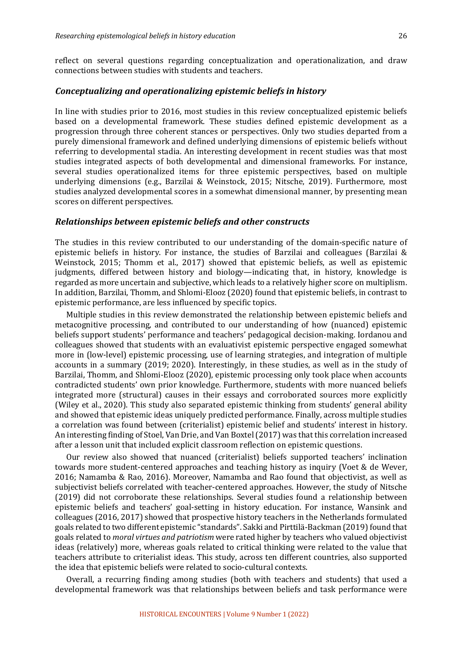reflect on several questions regarding conceptualization and operationalization, and draw connections between studies with students and teachers.

## *Conceptualizing and operationalizing epistemic beliefs in history*

In line with studies prior to 2016, most studies in this review conceptualized epistemic beliefs based on a developmental framework. These studies defined epistemic development as a progression through three coherent stances or perspectives. Only two studies departed from a purely dimensional framework and defined underlying dimensions of epistemic beliefs without referring to developmental stadia. An interesting development in recent studies was that most studies integrated aspects of both developmental and dimensional frameworks. For instance, several studies operationalized items for three epistemic perspectives, based on multiple underlying dimensions (e.g., Barzilai & Weinstock, 2015; Nitsche, 2019). Furthermore, most studies analyzed developmental scores in a somewhat dimensional manner, by presenting mean scores on different perspectives.

#### *Relationships between epistemic beliefs and other constructs*

The studies in this review contributed to our understanding of the domain-specific nature of epistemic beliefs in history. For instance, the studies of Barzilai and colleagues (Barzilai  $\&$ Weinstock, 2015; Thomm et al., 2017) showed that epistemic beliefs, as well as epistemic judgments, differed between history and biology—indicating that, in history, knowledge is regarded as more uncertain and subjective, which leads to a relatively higher score on multiplism. In addition, Barzilai, Thomm, and Shlomi-Elooz (2020) found that epistemic beliefs, in contrast to epistemic performance, are less influenced by specific topics.

Multiple studies in this review demonstrated the relationship between epistemic beliefs and metacognitive processing, and contributed to our understanding of how (nuanced) epistemic beliefs support students' performance and teachers' pedagogical decision-making. Iordanou and colleagues showed that students with an evaluativist epistemic perspective engaged somewhat more in (low-level) epistemic processing, use of learning strategies, and integration of multiple accounts in a summary  $(2019; 2020)$ . Interestingly, in these studies, as well as in the study of Barzilai, Thomm, and Shlomi-Elooz (2020), epistemic processing only took place when accounts contradicted students' own prior knowledge. Furthermore, students with more nuanced beliefs integrated more (structural) causes in their essays and corroborated sources more explicitly (Wiley et al., 2020). This study also separated epistemic thinking from students' general ability and showed that epistemic ideas uniquely predicted performance. Finally, across multiple studies a correlation was found between (criterialist) epistemic belief and students' interest in history. An interesting finding of Stoel, Van Drie, and Van Boxtel (2017) was that this correlation increased after a lesson unit that included explicit classroom reflection on epistemic questions.

Our review also showed that nuanced (criterialist) beliefs supported teachers' inclination towards more student-centered approaches and teaching history as inquiry (Voet & de Wever, 2016; Namamba & Rao, 2016). Moreover, Namamba and Rao found that objectivist, as well as subjectivist beliefs correlated with teacher-centered approaches. However, the study of Nitsche (2019) did not corroborate these relationships. Several studies found a relationship between epistemic beliefs and teachers' goal-setting in history education. For instance, Wansink and colleagues (2016, 2017) showed that prospective history teachers in the Netherlands formulated goals related to two different epistemic "standards". Sakki and Pirttilä-Backman (2019) found that goals related to *moral virtues and patriotism* were rated higher by teachers who valued objectivist ideas (relatively) more, whereas goals related to critical thinking were related to the value that teachers attribute to criterialist ideas. This study, across ten different countries, also supported the idea that epistemic beliefs were related to socio-cultural contexts.

Overall, a recurring finding among studies (both with teachers and students) that used a developmental framework was that relationships between beliefs and task performance were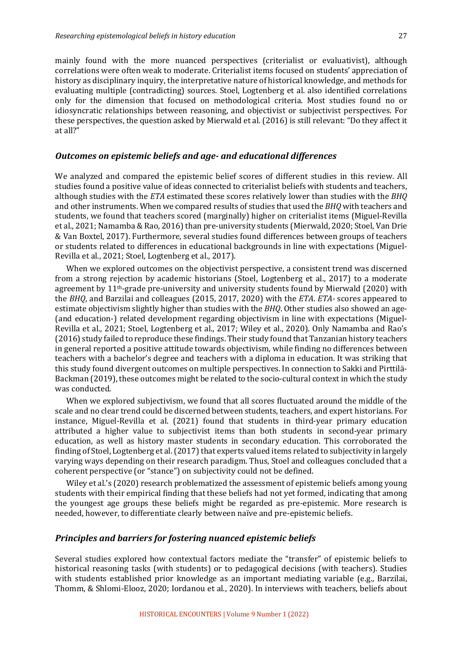mainly found with the more nuanced perspectives (criterialist or evaluativist), although correlations were often weak to moderate. Criterialist items focused on students' appreciation of history as disciplinary inquiry, the interpretative nature of historical knowledge, and methods for evaluating multiple (contradicting) sources. Stoel, Logtenberg et al. also identified correlations only for the dimension that focused on methodological criteria. Most studies found no or idiosyncratic relationships between reasoning, and objectivist or subjectivist perspectives. For these perspectives, the question asked by Mierwald et al. (2016) is still relevant: "Do they affect it at all?"

#### *Outcomes on epistemic beliefs and age- and educational differences*

We analyzed and compared the epistemic belief scores of different studies in this review. All studies found a positive value of ideas connected to criterialist beliefs with students and teachers, although studies with the *ETA* estimated these scores relatively lower than studies with the *BHO* and other instruments. When we compared results of studies that used the *BHQ* with teachers and students, we found that teachers scored (marginally) higher on criterialist items (Miguel-Revilla et al., 2021; Namamba & Rao, 2016) than pre-university students (Mierwald, 2020; Stoel, Van Drie & Van Boxtel, 2017). Furthermore, several studies found differences between groups of teachers or students related to differences in educational backgrounds in line with expectations (Miguel-Revilla et al., 2021; Stoel, Logtenberg et al., 2017).

When we explored outcomes on the objectivist perspective, a consistent trend was discerned from a strong rejection by academic historians (Stoel, Logtenberg et al., 2017) to a moderate agreement by  $11<sup>th</sup>$ -grade pre-university and university students found by Mierwald (2020) with the *BHQ*, and Barzilai and colleagues (2015, 2017, 2020) with the *ETA*. *ETA*- scores appeared to estimate objectivism slightly higher than studies with the  $BHQ$ . Other studies also showed an age-(and education-) related development regarding objectivism in line with expectations (Miguel-Revilla et al., 2021; Stoel, Logtenberg et al., 2017; Wiley et al., 2020). Only Namamba and Rao's (2016) study failed to reproduce these findings. Their study found that Tanzanian history teachers in general reported a positive attitude towards objectivism, while finding no differences between teachers with a bachelor's degree and teachers with a diploma in education. It was striking that this study found divergent outcomes on multiple perspectives. In connection to Sakki and Pirttilä-Backman (2019), these outcomes might be related to the socio-cultural context in which the study was conducted.

When we explored subjectivism, we found that all scores fluctuated around the middle of the scale and no clear trend could be discerned between students, teachers, and expert historians. For instance, Miguel-Revilla et al. (2021) found that students in third-year primary education attributed a higher value to subjectivist items than both students in second-year primary education, as well as history master students in secondary education. This corroborated the finding of Stoel, Logtenberg et al. (2017) that experts valued items related to subjectivity in largely varying ways depending on their research paradigm. Thus, Stoel and colleagues concluded that a coherent perspective (or "stance") on subjectivity could not be defined.

Wiley et al.'s (2020) research problematized the assessment of epistemic beliefs among young students with their empirical finding that these beliefs had not yet formed, indicating that among the youngest age groups these beliefs might be regarded as pre-epistemic. More research is needed, however, to differentiate clearly between naïve and pre-epistemic beliefs.

## *Principles and barriers for fostering nuanced epistemic beliefs*

Several studies explored how contextual factors mediate the "transfer" of epistemic beliefs to historical reasoning tasks (with students) or to pedagogical decisions (with teachers). Studies with students established prior knowledge as an important mediating variable (e.g., Barzilai, Thomm, & Shlomi-Elooz, 2020; Iordanou et al., 2020). In interviews with teachers, beliefs about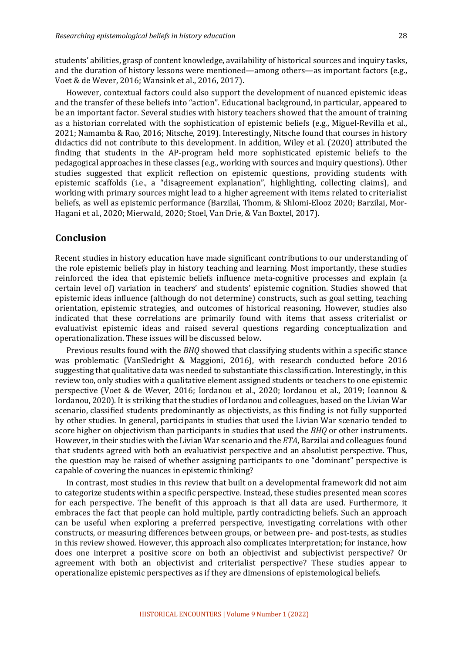students' abilities, grasp of content knowledge, availability of historical sources and inquiry tasks, and the duration of history lessons were mentioned—among others—as important factors (e.g., Voet & de Wever, 2016; Wansink et al., 2016, 2017).

However, contextual factors could also support the development of nuanced epistemic ideas and the transfer of these beliefs into "action". Educational background, in particular, appeared to be an important factor. Several studies with history teachers showed that the amount of training as a historian correlated with the sophistication of epistemic beliefs (e.g., Miguel-Revilla et al., 2021; Namamba & Rao, 2016; Nitsche, 2019). Interestingly, Nitsche found that courses in history didactics did not contribute to this development. In addition, Wiley et al. (2020) attributed the finding that students in the AP-program held more sophisticated epistemic beliefs to the pedagogical approaches in these classes (e.g., working with sources and inquiry questions). Other studies suggested that explicit reflection on epistemic questions, providing students with epistemic scaffolds (i.e., a "disagreement explanation", highlighting, collecting claims), and working with primary sources might lead to a higher agreement with items related to criterialist beliefs, as well as epistemic performance (Barzilai, Thomm, & Shlomi-Elooz 2020; Barzilai, Mor-Hagani et al., 2020; Mierwald, 2020; Stoel, Van Drie, & Van Boxtel, 2017).

# **Conclusion**

Recent studies in history education have made significant contributions to our understanding of the role epistemic beliefs play in history teaching and learning. Most importantly, these studies reinforced the idea that epistemic beliefs influence meta-cognitive processes and explain (a certain level of) variation in teachers' and students' epistemic cognition. Studies showed that epistemic ideas influence (although do not determine) constructs, such as goal setting, teaching orientation, epistemic strategies, and outcomes of historical reasoning. However, studies also indicated that these correlations are primarily found with items that assess criterialist or evaluativist epistemic ideas and raised several questions regarding conceptualization and operationalization. These issues will be discussed below.

Previous results found with the *BHQ* showed that classifying students within a specific stance was problematic (VanSledright & Maggioni, 2016), with research conducted before  $2016$ suggesting that qualitative data was needed to substantiate this classification. Interestingly, in this review too, only studies with a qualitative element assigned students or teachers to one epistemic perspective (Voet & de Wever, 2016; Iordanou et al., 2020; Iordanou et al., 2019; Ioannou & Iordanou, 2020). It is striking that the studies of Iordanou and colleagues, based on the Livian War scenario, classified students predominantly as objectivists, as this finding is not fully supported by other studies. In general, participants in studies that used the Livian War scenario tended to score higher on objectivism than participants in studies that used the *BHO* or other instruments. However, in their studies with the Livian War scenario and the *ETA*, Barzilai and colleagues found that students agreed with both an evaluativist perspective and an absolutist perspective. Thus, the question may be raised of whether assigning participants to one "dominant" perspective is capable of covering the nuances in epistemic thinking?

In contrast, most studies in this review that built on a developmental framework did not aim to categorize students within a specific perspective. Instead, these studies presented mean scores for each perspective. The benefit of this approach is that all data are used. Furthermore, it embraces the fact that people can hold multiple, partly contradicting beliefs. Such an approach can be useful when exploring a preferred perspective, investigating correlations with other constructs, or measuring differences between groups, or between pre- and post-tests, as studies in this review showed. However, this approach also complicates interpretation; for instance, how does one interpret a positive score on both an objectivist and subjectivist perspective? Or agreement with both an objectivist and criterialist perspective? These studies appear to operationalize epistemic perspectives as if they are dimensions of epistemological beliefs.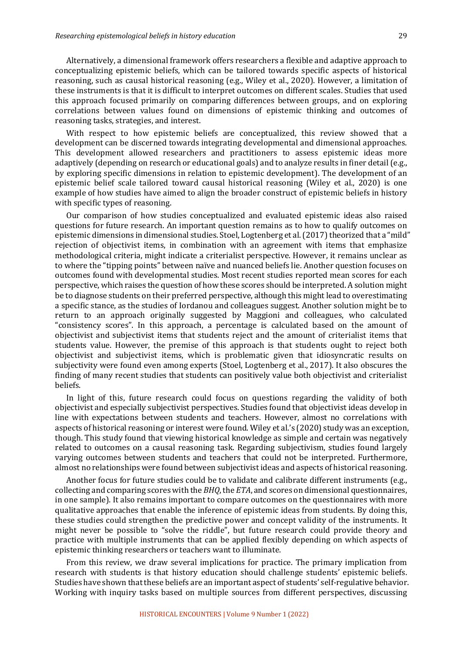Alternatively, a dimensional framework offers researchers a flexible and adaptive approach to conceptualizing epistemic beliefs, which can be tailored towards specific aspects of historical reasoning, such as causal historical reasoning  $(e.g.,$  Wiley et al., 2020). However, a limitation of these instruments is that it is difficult to interpret outcomes on different scales. Studies that used this approach focused primarily on comparing differences between groups, and on exploring correlations between values found on dimensions of epistemic thinking and outcomes of reasoning tasks, strategies, and interest.

With respect to how epistemic beliefs are conceptualized, this review showed that a development can be discerned towards integrating developmental and dimensional approaches. This development allowed researchers and practitioners to assess epistemic ideas more adaptively (depending on research or educational goals) and to analyze results in finer detail (e.g., by exploring specific dimensions in relation to epistemic development). The development of an epistemic belief scale tailored toward causal historical reasoning (Wiley et al., 2020) is one example of how studies have aimed to align the broader construct of epistemic beliefs in history with specific types of reasoning.

Our comparison of how studies conceptualized and evaluated epistemic ideas also raised questions for future research. An important question remains as to how to qualify outcomes on epistemic dimensions in dimensional studies. Stoel, Logtenberg et al. (2017) theorized that a "mild" rejection of objectivist items, in combination with an agreement with items that emphasize methodological criteria, might indicate a criterialist perspective. However, it remains unclear as to where the "tipping points" between naïve and nuanced beliefs lie. Another question focuses on outcomes found with developmental studies. Most recent studies reported mean scores for each perspective, which raises the question of how these scores should be interpreted. A solution might be to diagnose students on their preferred perspective, although this might lead to overestimating a specific stance, as the studies of Iordanou and colleagues suggest. Another solution might be to return to an approach originally suggested by Maggioni and colleagues, who calculated "consistency scores". In this approach, a percentage is calculated based on the amount of objectivist and subjectivist items that students reject and the amount of criterialist items that students value. However, the premise of this approach is that students ought to reject both objectivist and subjectivist items, which is problematic given that idiosyncratic results on subjectivity were found even among experts (Stoel, Logtenberg et al., 2017). It also obscures the finding of many recent studies that students can positively value both objectivist and criterialist beliefs.

In light of this, future research could focus on questions regarding the validity of both objectivist and especially subjectivist perspectives. Studies found that objectivist ideas develop in line with expectations between students and teachers. However, almost no correlations with aspects of historical reasoning or interest were found. Wiley et al.'s (2020) study was an exception, though. This study found that viewing historical knowledge as simple and certain was negatively related to outcomes on a causal reasoning task. Regarding subjectivism, studies found largely varying outcomes between students and teachers that could not be interpreted. Furthermore, almost no relationships were found between subjectivist ideas and aspects of historical reasoning.

Another focus for future studies could be to validate and calibrate different instruments (e.g., collecting and comparing scores with the *BHQ*, the *ETA*, and scores on dimensional questionnaires, in one sample). It also remains important to compare outcomes on the questionnaires with more qualitative approaches that enable the inference of epistemic ideas from students. By doing this, these studies could strengthen the predictive power and concept validity of the instruments. It might never be possible to "solve the riddle", but future research could provide theory and practice with multiple instruments that can be applied flexibly depending on which aspects of epistemic thinking researchers or teachers want to illuminate.

From this review, we draw several implications for practice. The primary implication from research with students is that history education should challenge students' epistemic beliefs. Studies have shown that these beliefs are an important aspect of students' self-regulative behavior. Working with inquiry tasks based on multiple sources from different perspectives, discussing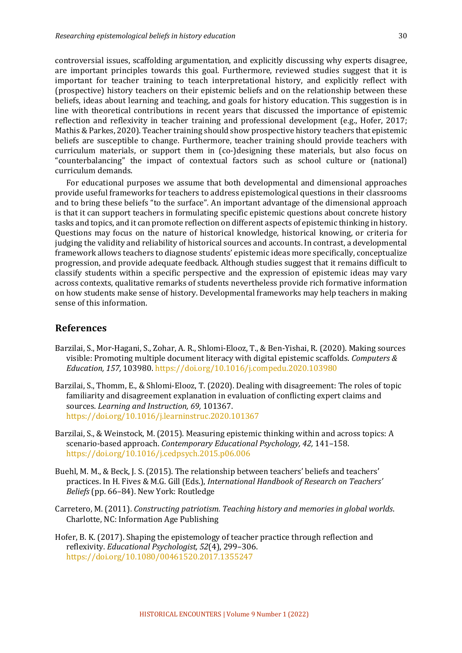controversial issues, scaffolding argumentation, and explicitly discussing why experts disagree, are important principles towards this goal. Furthermore, reviewed studies suggest that it is important for teacher training to teach interpretational history, and explicitly reflect with (prospective) history teachers on their epistemic beliefs and on the relationship between these beliefs, ideas about learning and teaching, and goals for history education. This suggestion is in line with theoretical contributions in recent years that discussed the importance of epistemic reflection and reflexivity in teacher training and professional development (e.g., Hofer, 2017; Mathis & Parkes, 2020). Teacher training should show prospective history teachers that epistemic beliefs are susceptible to change. Furthermore, teacher training should provide teachers with curriculum materials, or support them in (co-)designing these materials, but also focus on "counterbalancing" the impact of contextual factors such as school culture or (national) curriculum demands.

For educational purposes we assume that both developmental and dimensional approaches provide useful frameworks for teachers to address epistemological questions in their classrooms and to bring these beliefs "to the surface". An important advantage of the dimensional approach is that it can support teachers in formulating specific epistemic questions about concrete history tasks and topics, and it can promote reflection on different aspects of epistemic thinking in history. Questions may focus on the nature of historical knowledge, historical knowing, or criteria for judging the validity and reliability of historical sources and accounts. In contrast, a developmental framework allows teachers to diagnose students' epistemic ideas more specifically, conceptualize progression, and provide adequate feedback. Although studies suggest that it remains difficult to classify students within a specific perspective and the expression of epistemic ideas may vary across contexts, qualitative remarks of students nevertheless provide rich formative information on how students make sense of history. Developmental frameworks may help teachers in making sense of this information.

### **References**

- Barzilai, S., Mor-Hagani, S., Zohar, A. R., Shlomi-Elooz, T., & Ben-Yishai, R. (2020). Making sources visible: Promoting multiple document literacy with digital epistemic scaffolds. *Computers & Education, 157,* 103980. https://doi.org/10.1016/j.compedu.2020.103980
- Barzilai, S., Thomm, E., & Shlomi-Elooz, T. (2020). Dealing with disagreement: The roles of topic familiarity and disagreement explanation in evaluation of conflicting expert claims and sources. *Learning and Instruction*, 69, 101367. https://doi.org/10.1016/j.learninstruc.2020.101367
- Barzilai, S., & Weinstock, M. (2015). Measuring epistemic thinking within and across topics: A scenario-based approach. *Contemporary Educational Psychology, 42,* 141–158. https://doi.org/10.1016/j.cedpsych.2015.p06.006
- Buehl, M. M., & Beck, J. S. (2015). The relationship between teachers' beliefs and teachers' practices. In H. Fives & M.G. Gill (Eds.), *International Handbook of Research on Teachers' Beliefs* (pp. 66–84). New York: Routledge
- Carretero, M. (2011). *Constructing patriotism. Teaching history and memories in global worlds.* Charlotte, NC: Information Age Publishing
- Hofer, B. K. (2017). Shaping the epistemology of teacher practice through reflection and reflexivity. *Educational Psychologist,* 52(4), 299-306. https://doi.org/10.1080/00461520.2017.1355247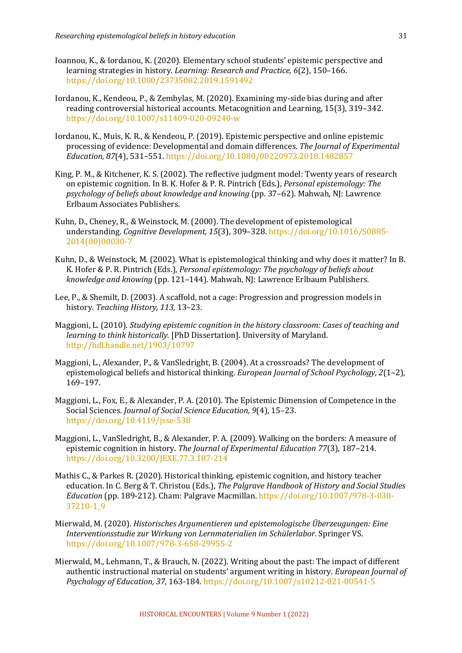- Ioannou, K., & Iordanou, K. (2020). Elementary school students' epistemic perspective and learning strategies in history. *Learning: Research and Practice,* 6(2), 150-166. https://doi.org/10.1080/23735082.2019.1591492
- Iordanou, K., Kendeou, P., & Zembylas, M. (2020). Examining my-side bias during and after reading controversial historical accounts. Metacognition and Learning, 15(3), 319–342. https://doi.org/10.1007/s11409-020-09240-w
- Iordanou, K., Muis, K. R., & Kendeou, P. (2019). Epistemic perspective and online epistemic processing of evidence: Developmental and domain differences. *The Journal of Experimental Education, 87*(4), 531–551. https://doi.org/10.1080/00220973.2018.1482857
- King, P. M., & Kitchener, K. S. (2002). The reflective judgment model: Twenty years of research on epistemic cognition. In B. K. Hofer & P. R. Pintrich (Eds.), *Personal epistemology: The psychology of beliefs about knowledge and knowing* (pp. 37–62). Mahwah, NJ: Lawrence Erlbaum Associates Publishers.
- Kuhn, D., Cheney, R., & Weinstock, M. (2000). The development of epistemological understanding. *Cognitive Development, 15*(3), 309–328. https://doi.org/10.1016/S0885-2014(00)00030-7
- Kuhn, D., & Weinstock, M. (2002). What is epistemological thinking and why does it matter? In B. K. Hofer & P. R. Pintrich (Eds.). *Personal epistemology: The psychology of beliefs about knowledge and knowing* (pp. 121–144). Mahwah, NJ: Lawrence Erlbaum Publishers.
- Lee, P., & Shemilt, D. (2003). A scaffold, not a cage: Progression and progression models in history. Teaching History, 113, 13-23.
- Maggioni, L. (2010). *Studying epistemic cognition in the history classroom: Cases of teaching and learning to think historically.* [PhD Dissertation]. University of Maryland. http://hdl.handle.net/1903/10797
- Maggioni, L., Alexander, P., & VanSledright, B. (2004). At a crossroads? The development of epistemological beliefs and historical thinking. *European Journal of School Psychology*, 2(1-2), 169–197.
- Maggioni, L., Fox, E., & Alexander, P. A. (2010). The Epistemic Dimension of Competence in the Social Sciences. *Journal of Social Science Education*, 9(4), 15-23. https://doi.org/10.4119/jsse-538
- Maggioni, L., VanSledright, B., & Alexander, P. A. (2009). Walking on the borders: A measure of epistemic cognition in history. *The Journal of Experimental Education* 77(3), 187-214. https://doi.org/10.3200/JEXE.77.3.187-214
- Mathis C., & Parkes R. (2020). Historical thinking, epistemic cognition, and history teacher education. In C. Berg & T. Christou (Eds.), *The Palgrave Handbook of History and Social Studies Education* (pp. 189-212). Cham: Palgrave Macmillan. https://doi.org/10.1007/978-3-030-37210-1\_9
- Mierwald, M. (2020). *Historisches Argumentieren und epistemologische Überzeugungen: Eine Interventionsstudie zur Wirkung von Lernmaterialien im Schülerlabor*. Springer VS. https://doi.org/10.1007/978-3-658-29955-2
- Mierwald, M., Lehmann, T., & Brauch, N. (2022). Writing about the past: The impact of different authentic instructional material on students' argument writing in history. *European Journal of Psychology of Education, 37,* 163-184*.* https://doi.org/10.1007/s10212-021-00541-5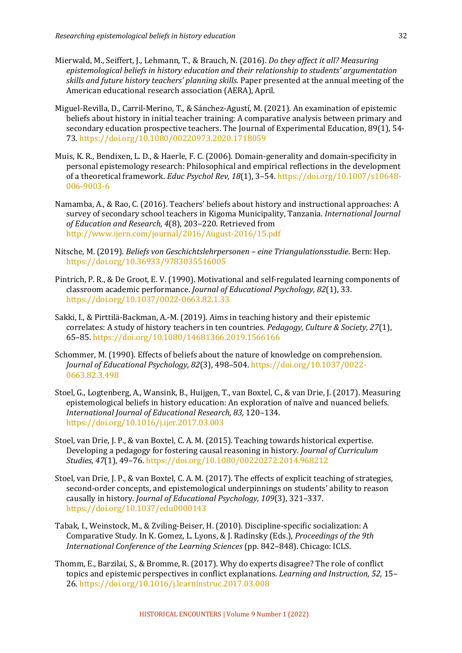- Mierwald, M., Seiffert, J., Lehmann, T., & Brauch, N. (2016). *Do they affect it all? Measuring epistemological beliefs in history education and their relationship to students' argumentation* skills and future history teachers' planning skills. Paper presented at the annual meeting of the American educational research association (AERA), April.
- Miguel-Revilla, D., Carril-Merino, T., & Sánchez-Agustí, M. (2021). An examination of epistemic beliefs about history in initial teacher training: A comparative analysis between primary and secondary education prospective teachers. The Journal of Experimental Education,  $89(1)$ , 54-73. https://doi.org/10.1080/00220973.2020.1718059
- Muis, K. R., Bendixen, L. D., & Haerle, F. C. (2006). Domain-generality and domain-specificity in personal epistemology research: Philosophical and empirical reflections in the development of a theoretical framework. *Educ Psychol Rev, 18*(1), 3-54. https://doi.org/10.1007/s10648-006-9003-6
- Namamba, A., & Rao, C. (2016). Teachers' beliefs about history and instructional approaches: A survey of secondary school teachers in Kigoma Municipality, Tanzania. *International Journal* of Education and Research, 4(8), 203-220. Retrieved from http://www.ijern.com/journal/2016/August-2016/15.pdf
- Nitsche, M. (2019). *Beliefs von Geschichtslehrpersonen eine Triangulationsstudie*. Bern: Hep. https://doi.org/10.36933/9783035516005
- Pintrich, P. R., & De Groot, E. V. (1990). Motivational and self-regulated learning components of classroom academic performance. *Journal of Educational Psychology, 82*(1), 33. https://doi.org/10.1037/0022-0663.82.1.33
- Sakki, I., & Pirttilä-Backman, A.-M. (2019). Aims in teaching history and their epistemic correlates: A study of history teachers in ten countries. *Pedagogy, Culture & Society, 27*(1), 65–85. https://doi.org/10.1080/14681366.2019.1566166
- Schommer, M. (1990). Effects of beliefs about the nature of knowledge on comprehension. *Journal of Educational Psychology, 82*(3), 498–504. https://doi.org/10.1037/0022- 0663.82.3.498
- Stoel, G., Logtenberg, A., Wansink, B., Huijgen, T., van Boxtel, C., & van Drie, J. (2017). Measuring epistemological beliefs in history education: An exploration of naïve and nuanced beliefs. *International Journal of Educational Research, 83,* 120–134. https://doi.org/10.1016/j.ijer.2017.03.003
- Stoel, van Drie, J. P., & van Boxtel, C. A. M. (2015). Teaching towards historical expertise. Developing a pedagogy for fostering causal reasoning in history. *Journal of Curriculum* Studies, 47(1), 49-76. https://doi.org/10.1080/00220272.2014.968212
- Stoel, van Drie, J. P., & van Boxtel, C. A. M. (2017). The effects of explicit teaching of strategies, second-order concepts, and epistemological underpinnings on students' ability to reason causally in history. *Journal of Educational Psychology, 109*(3), 321-337. https://doi.org/10.1037/edu0000143
- Tabak, I., Weinstock, M., & Zviling-Beiser, H. (2010). Discipline-specific socialization: A Comparative Study. In K. Gomez, L. Lyons, & J. Radinsky (Eds.), *Proceedings of the 9th International Conference of the Learning Sciences* (pp. 842–848). Chicago: ICLS.
- Thomm, E., Barzilai, S., & Bromme, R. (2017). Why do experts disagree? The role of conflict topics and epistemic perspectives in conflict explanations. *Learning and Instruction, 52,* 15– 26. https://doi.org/10.1016/j.learninstruc.2017.03.008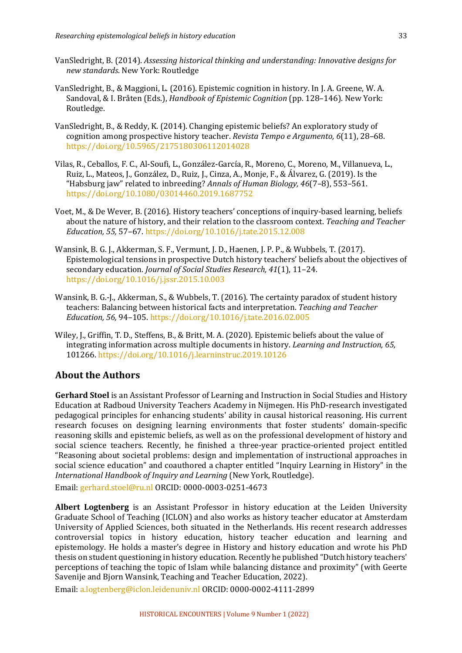- VanSledright, B. (2014). *Assessing historical thinking and understanding: Innovative designs for new standards*. New York: Routledge
- VanSledright, B., & Maggioni, L. (2016). Epistemic cognition in history. In J. A. Greene, W. A. Sandoval, & I. Bråten (Eds.), *Handbook of Epistemic Cognition* (pp. 128–146). New York: Routledge.
- VanSledright, B., & Reddy, K. (2014). Changing epistemic beliefs? An exploratory study of cognition among prospective history teacher. *Revista Tempo e Argumento*, 6(11), 28-68. https://doi.org/10.5965/2175180306112014028
- Vilas, R., Ceballos, F. C., Al-Soufi, L., González-García, R., Moreno, C., Moreno, M., Villanueva, L., Ruiz, L., Mateos, J., González, D., Ruiz, J., Cinza, A., Monje, F., & Álvarez, G. (2019). Is the "Habsburg jaw" related to inbreeding? Annals of Human Biology, 46(7-8), 553-561. https://doi.org/10.1080/03014460.2019.1687752
- Voet, M., & De Wever, B. (2016). History teachers' conceptions of inquiry-based learning, beliefs about the nature of history, and their relation to the classroom context. *Teaching and Teacher Education, 55,* 57–67. https://doi.org/10.1016/j.tate.2015.12.008
- Wansink, B. G. J., Akkerman, S. F., Vermunt, J. D., Haenen, J. P. P., & Wubbels, T. (2017). Epistemological tensions in prospective Dutch history teachers' beliefs about the objectives of secondary education. *Journal of Social Studies Research, 41*(1), 11–24. https://doi.org/10.1016/j.jssr.2015.10.003
- Wansink, B. G.-J., Akkerman, S., & Wubbels, T. (2016). The certainty paradox of student history teachers: Balancing between historical facts and interpretation. *Teaching and Teacher Education, 56,* 94–105. https://doi.org/10.1016/j.tate.2016.02.005
- Wiley, J., Griffin, T. D., Steffens, B., & Britt, M. A. (2020). Epistemic beliefs about the value of integrating information across multiple documents in history. *Learning and Instruction, 65,* 101266. https://doi.org/10.1016/j.learninstruc.2019.10126

# **About the Authors**

**Gerhard Stoel** is an Assistant Professor of Learning and Instruction in Social Studies and History Education at Radboud University Teachers Academy in Nijmegen. His PhD-research investigated pedagogical principles for enhancing students' ability in causal historical reasoning. His current research focuses on designing learning environments that foster students' domain-specific reasoning skills and epistemic beliefs, as well as on the professional development of history and social science teachers. Recently, he finished a three-year practice-oriented project entitled "Reasoning about societal problems: design and implementation of instructional approaches in social science education" and coauthored a chapter entitled "Inquiry Learning in History" in the *International Handbook of Inquiry and Learning* (New York, Routledge).

Email: gerhard.stoel@ru.nl ORCID: 0000-0003-0251-4673

**Albert Logtenberg** is an Assistant Professor in history education at the Leiden University Graduate School of Teaching (ICLON) and also works as history teacher educator at Amsterdam University of Applied Sciences, both situated in the Netherlands. His recent research addresses controversial topics in history education, history teacher education and learning and epistemology. He holds a master's degree in History and history education and wrote his PhD thesis on student questioning in history education. Recently he published "Dutch history teachers' perceptions of teaching the topic of Islam while balancing distance and proximity" (with Geerte Savenije and Bjorn Wansink, Teaching and Teacher Education, 2022).

Email: a.logtenberg@iclon.leidenuniv.nl ORCID: 0000-0002-4111-2899